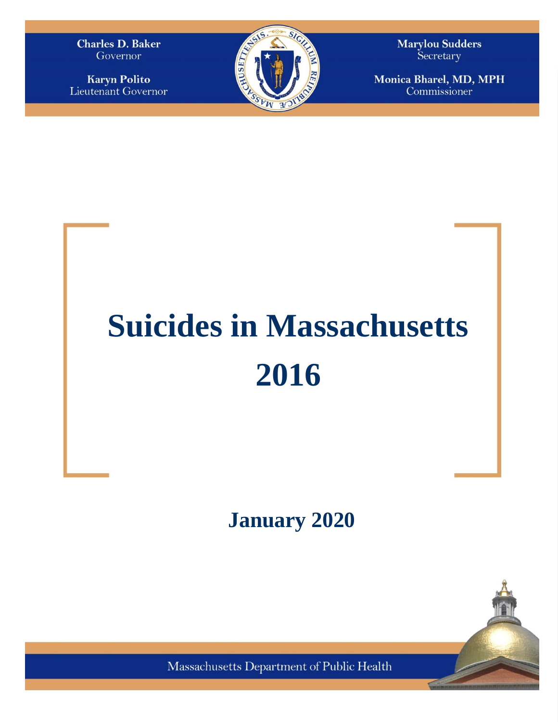**Charles D. Baker** Governor

**Karyn Polito** Lieutenant Governor



**Marylou Sudders** Secretary

Monica Bharel, MD, MPH Commissioner

# **Suicides in Massachusetts 2016**

**January 2020**



Massachusetts Department of Public Health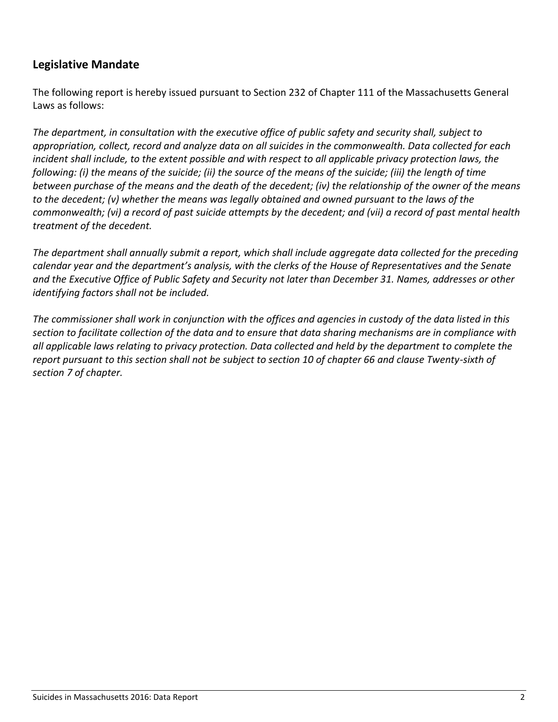# **Legislative Mandate**

The following report is hereby issued pursuant to Section 232 of Chapter 111 of the Massachusetts General Laws as follows:

*The department, in consultation with the executive office of public safety and security shall, subject to appropriation, collect, record and analyze data on all suicides in the commonwealth. Data collected for each incident shall include, to the extent possible and with respect to all applicable privacy protection laws, the following: (i) the means of the suicide; (ii) the source of the means of the suicide; (iii) the length of time between purchase of the means and the death of the decedent; (iv) the relationship of the owner of the means to the decedent; (v) whether the means was legally obtained and owned pursuant to the laws of the commonwealth; (vi) a record of past suicide attempts by the decedent; and (vii) a record of past mental health treatment of the decedent.* 

*The department shall annually submit a report, which shall include aggregate data collected for the preceding calendar year and the department's analysis, with the clerks of the House of Representatives and the Senate and the Executive Office of Public Safety and Security not later than December 31. Names, addresses or other identifying factors shall not be included.* 

*The commissioner shall work in conjunction with the offices and agencies in custody of the data listed in this section to facilitate collection of the data and to ensure that data sharing mechanisms are in compliance with all applicable laws relating to privacy protection. Data collected and held by the department to complete the report pursuant to this section shall not be subject to section 10 of chapter 66 and clause Twenty-sixth of section 7 of chapter.*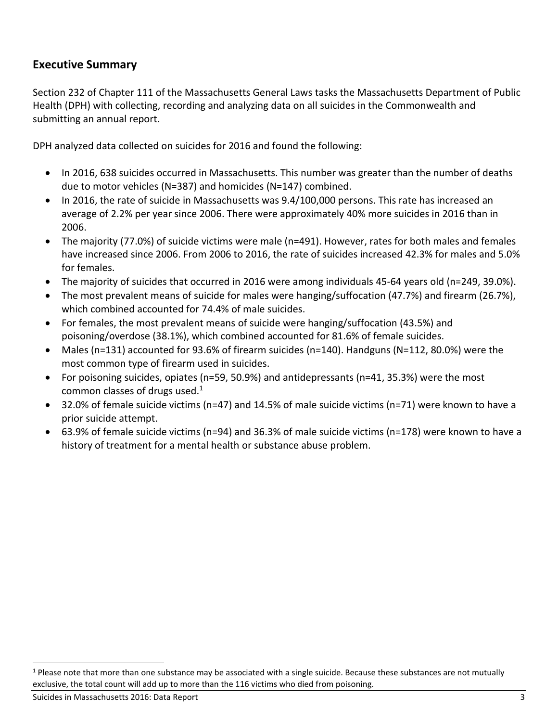## **Executive Summary**

Section 232 of Chapter 111 of the Massachusetts General Laws tasks the Massachusetts Department of Public Health (DPH) with collecting, recording and analyzing data on all suicides in the Commonwealth and submitting an annual report.

DPH analyzed data collected on suicides for 2016 and found the following:

- In 2016, 638 suicides occurred in Massachusetts. This number was greater than the number of deaths due to motor vehicles (N=387) and homicides (N=147) combined.
- In 2016, the rate of suicide in Massachusetts was 9.4/100,000 persons. This rate has increased an average of 2.2% per year since 2006. There were approximately 40% more suicides in 2016 than in 2006.
- The majority (77.0%) of suicide victims were male (n=491). However, rates for both males and females have increased since 2006. From 2006 to 2016, the rate of suicides increased 42.3% for males and 5.0% for females.
- The majority of suicides that occurred in 2016 were among individuals 45-64 years old (n=249, 39.0%).
- The most prevalent means of suicide for males were hanging/suffocation (47.7%) and firearm (26.7%), which combined accounted for 74.4% of male suicides.
- For females, the most prevalent means of suicide were hanging/suffocation (43.5%) and poisoning/overdose (38.1%), which combined accounted for 81.6% of female suicides.
- Males (n=131) accounted for 93.6% of firearm suicides (n=140). Handguns (N=112, 80.0%) were the most common type of firearm used in suicides.
- For poisoning suicides, opiates (n=59, 50.9%) and antidepressants (n=41, 35.3%) were the most common classes of drugs used. $1$
- 32.0% of female suicide victims (n=47) and 14.5% of male suicide victims (n=71) were known to have a prior suicide attempt.
- 63.9% of female suicide victims (n=94) and 36.3% of male suicide victims (n=178) were known to have a history of treatment for a mental health or substance abuse problem.

 $1$  Please note that more than one substance may be associated with a single suicide. Because these substances are not mutually exclusive, the total count will add up to more than the 116 victims who died from poisoning.

Suicides in Massachusetts 2016: Data Report 3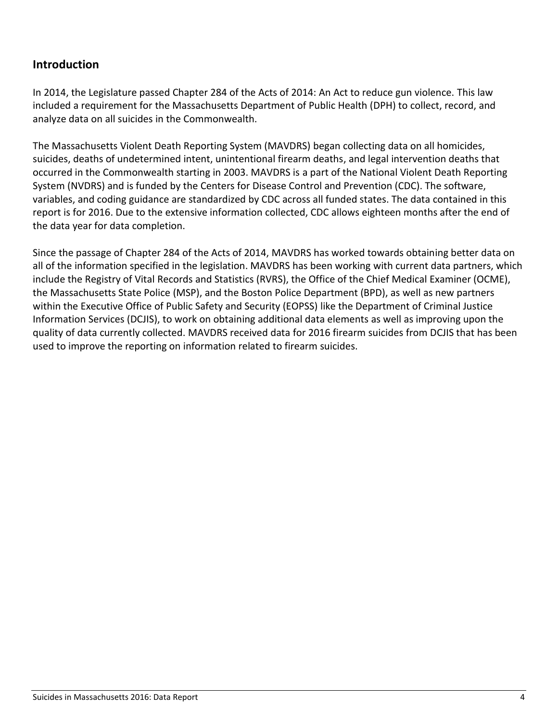# **Introduction**

In 2014, the Legislature passed Chapter 284 of the Acts of 2014: An Act to reduce gun violence. This law included a requirement for the Massachusetts Department of Public Health (DPH) to collect, record, and analyze data on all suicides in the Commonwealth.

The Massachusetts Violent Death Reporting System (MAVDRS) began collecting data on all homicides, suicides, deaths of undetermined intent, unintentional firearm deaths, and legal intervention deaths that occurred in the Commonwealth starting in 2003. MAVDRS is a part of the National Violent Death Reporting System (NVDRS) and is funded by the Centers for Disease Control and Prevention (CDC). The software, variables, and coding guidance are standardized by CDC across all funded states. The data contained in this report is for 2016. Due to the extensive information collected, CDC allows eighteen months after the end of the data year for data completion.

Since the passage of Chapter 284 of the Acts of 2014, MAVDRS has worked towards obtaining better data on all of the information specified in the legislation. MAVDRS has been working with current data partners, which include the Registry of Vital Records and Statistics (RVRS), the Office of the Chief Medical Examiner (OCME), the Massachusetts State Police (MSP), and the Boston Police Department (BPD), as well as new partners within the Executive Office of Public Safety and Security (EOPSS) like the Department of Criminal Justice Information Services (DCJIS), to work on obtaining additional data elements as well as improving upon the quality of data currently collected. MAVDRS received data for 2016 firearm suicides from DCJIS that has been used to improve the reporting on information related to firearm suicides.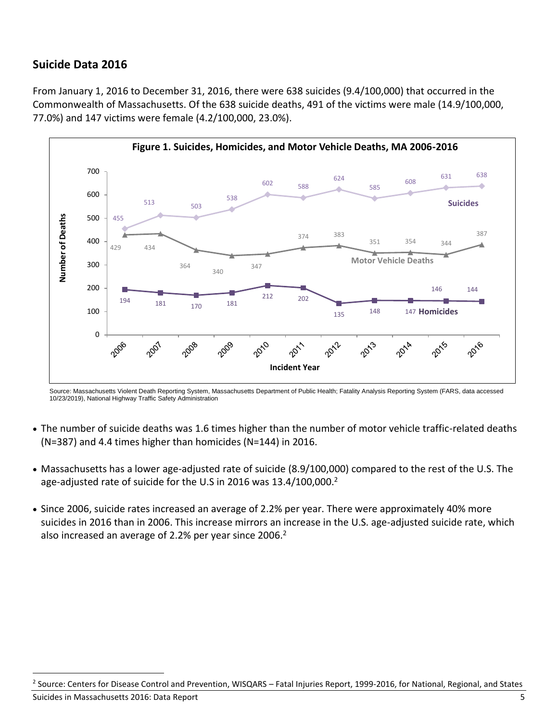# **Suicide Data 2016**

From January 1, 2016 to December 31, 2016, there were 638 suicides (9.4/100,000) that occurred in the Commonwealth of Massachusetts. Of the 638 suicide deaths, 491 of the victims were male (14.9/100,000, 77.0%) and 147 victims were female (4.2/100,000, 23.0%).



Source: Massachusetts Violent Death Reporting System, Massachusetts Department of Public Health; Fatality Analysis Reporting System (FARS, data accessed 10/23/2019), National Highway Traffic Safety Administration

- The number of suicide deaths was 1.6 times higher than the number of motor vehicle traffic-related deaths (N=387) and 4.4 times higher than homicides (N=144) in 2016.
- Massachusetts has a lower age-adjusted rate of suicide (8.9/100,000) compared to the rest of the U.S. The age-adjusted rate of suicide for the U.S in 2016 was 13.4/100,000.<sup>2</sup>
- Since 2006, suicide rates increased an average of 2.2% per year. There were approximately 40% more suicides in 2016 than in 2006. This increase mirrors an increase in the U.S. age-adjusted suicide rate, which also increased an average of 2.2% per year since 2006.<sup>2</sup>

Suicides in Massachusetts 2016: Data Report 5 <sup>2</sup> Source: Centers for Disease Control and Prevention, WISQARS – Fatal Injuries Report, 1999-2016, for National, Regional, and States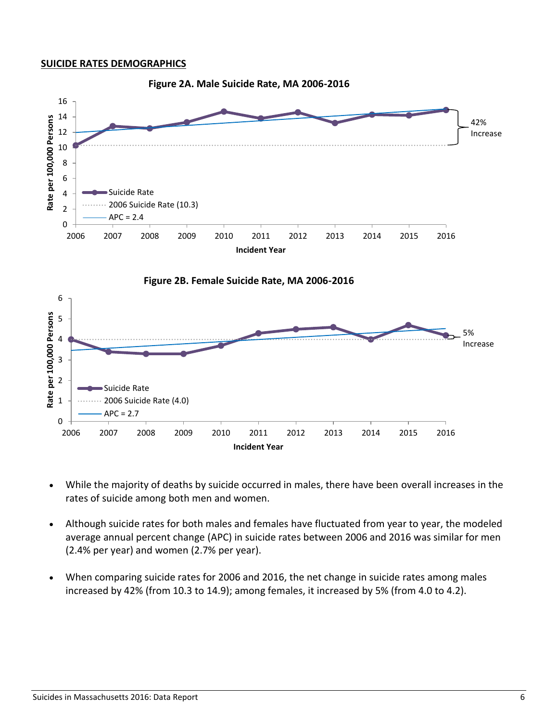#### **SUICIDE RATES DEMOGRAPHICS**



- While the majority of deaths by suicide occurred in males, there have been overall increases in the rates of suicide among both men and women.
- Although suicide rates for both males and females have fluctuated from year to year, the modeled average annual percent change (APC) in suicide rates between 2006 and 2016 was similar for men (2.4% per year) and women (2.7% per year).
- When comparing suicide rates for 2006 and 2016, the net change in suicide rates among males increased by 42% (from 10.3 to 14.9); among females, it increased by 5% (from 4.0 to 4.2).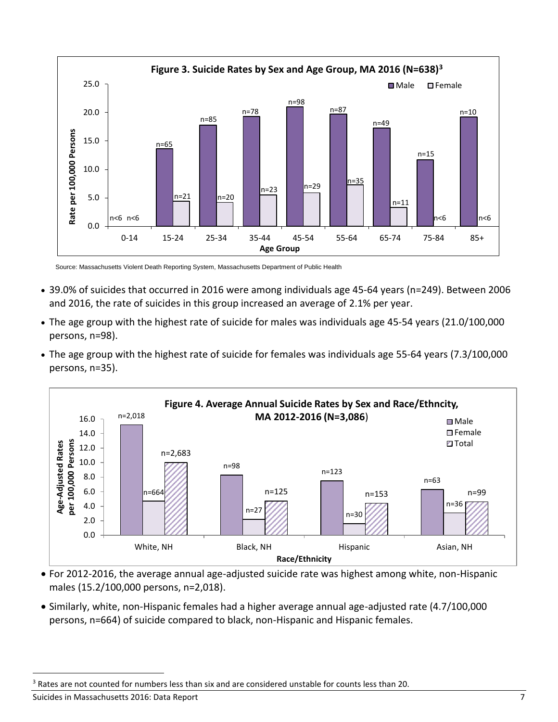

Source: Massachusetts Violent Death Reporting System, Massachusetts Department of Public Health

- 39.0% of suicides that occurred in 2016 were among individuals age 45-64 years (n=249). Between 2006 and 2016, the rate of suicides in this group increased an average of 2.1% per year.
- The age group with the highest rate of suicide for males was individuals age 45-54 years (21.0/100,000 persons, n=98).
- The age group with the highest rate of suicide for females was individuals age 55-64 years (7.3/100,000 persons, n=35).



- For 2012-2016, the average annual age-adjusted suicide rate was highest among white, non-Hispanic males (15.2/100,000 persons, n=2,018).<sup>3</sup>
- Similarly, white, non-Hispanic females had a higher average annual age-adjusted rate (4.7/100,000 persons, n=664) of suicide compared to black, non-Hispanic and Hispanic females.

Suicides in Massachusetts 2016: Data Report 7

<sup>&</sup>lt;sup>3</sup> Rates are not counted for numbers less than six and are considered unstable for counts less than 20.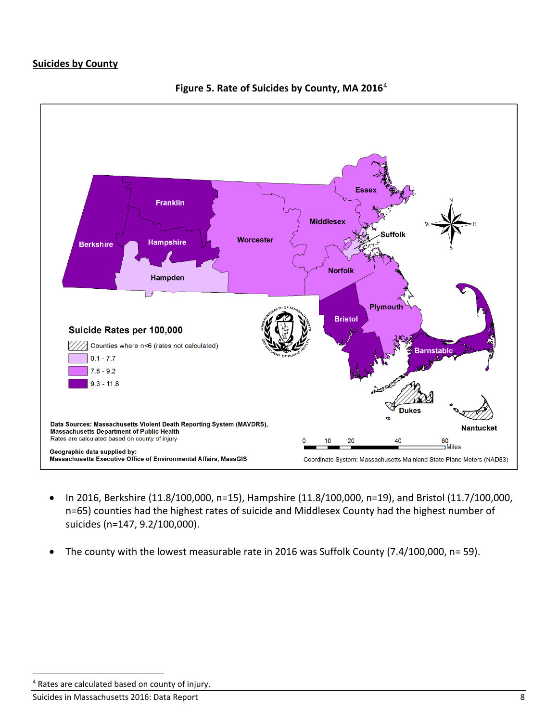### **Suicides by County**



**Figure 5. Rate of Suicides by County, MA 2016**4

- In 2016, Berkshire (11.8/100,000, n=15), Hampshire (11.8/100,000, n=19), and Bristol (11.7/100,000, n=65) counties had the highest rates of suicide and Middlesex County had the highest number of suicides (n=147, 9.2/100,000).
- The county with the lowest measurable rate in 2016 was Suffolk County (7.4/100,000, n= 59).

<sup>&</sup>lt;sup>4</sup> Rates are calculated based on county of injury.

Suicides in Massachusetts 2016: Data Report 8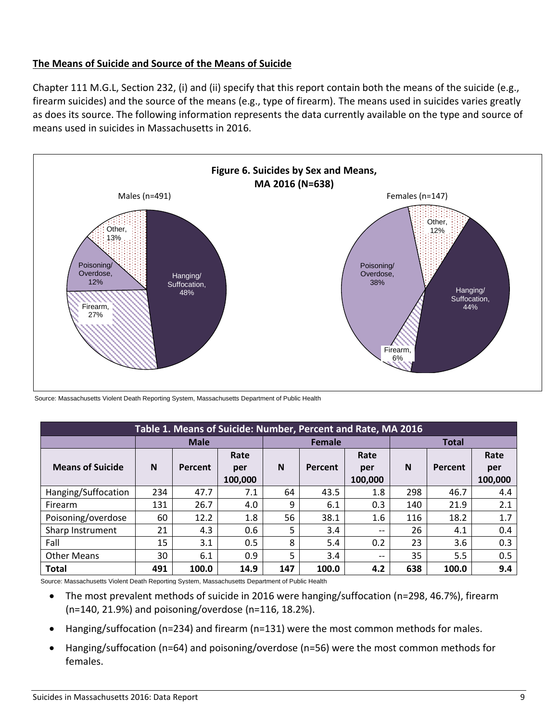Chapter 111 M.G.L, Section 232, (i) and (ii) specify that this report contain both the means of the suicide (e.g., firearm suicides) and the source of the means (e.g., type of firearm). The means used in suicides varies greatly as does its source. The following information represents the data currently available on the type and source of means used in suicides in Massachusetts in 2016.



Source: Massachusetts Violent Death Reporting System, Massachusetts Department of Public Health

| Table 1. Means of Suicide: Number, Percent and Rate, MA 2016 |             |         |         |               |         |                                       |     |         |         |
|--------------------------------------------------------------|-------------|---------|---------|---------------|---------|---------------------------------------|-----|---------|---------|
|                                                              | <b>Male</b> |         |         | <b>Female</b> |         |                                       |     |         |         |
|                                                              |             |         | Rate    |               |         | Rate                                  |     |         | Rate    |
| <b>Means of Suicide</b>                                      | N           | Percent | per     | N             | Percent | per                                   | N   | Percent | per     |
|                                                              |             |         | 100,000 |               |         | 100,000                               |     |         | 100,000 |
| Hanging/Suffocation                                          | 234         | 47.7    | 7.1     | 64            | 43.5    | 1.8                                   | 298 | 46.7    | 4.4     |
| Firearm                                                      | 131         | 26.7    | 4.0     | 9             | 6.1     | 0.3                                   | 140 | 21.9    | 2.1     |
| Poisoning/overdose                                           | 60          | 12.2    | 1.8     | 56            | 38.1    | 1.6                                   | 116 | 18.2    | 1.7     |
| Sharp Instrument                                             | 21          | 4.3     | 0.6     | 5             | 3.4     | $\hspace{0.05cm}$ – $\hspace{0.05cm}$ | 26  | 4.1     | 0.4     |
| Fall                                                         | 15          | 3.1     | 0.5     | 8             | 5.4     | 0.2                                   | 23  | 3.6     | 0.3     |
| <b>Other Means</b>                                           | 30          | 6.1     | 0.9     | 5             | 3.4     | $\qquad \qquad -$                     | 35  | 5.5     | 0.5     |
| <b>Total</b>                                                 | 491         | 100.0   | 14.9    | 147           | 100.0   | 4.2                                   | 638 | 100.0   | 9.4     |

Source: Massachusetts Violent Death Reporting System, Massachusetts Department of Public Health

- The most prevalent methods of suicide in 2016 were hanging/suffocation (n=298, 46.7%), firearm (n=140, 21.9%) and poisoning/overdose (n=116, 18.2%).
- Hanging/suffocation (n=234) and firearm (n=131) were the most common methods for males.
- Hanging/suffocation (n=64) and poisoning/overdose (n=56) were the most common methods for females.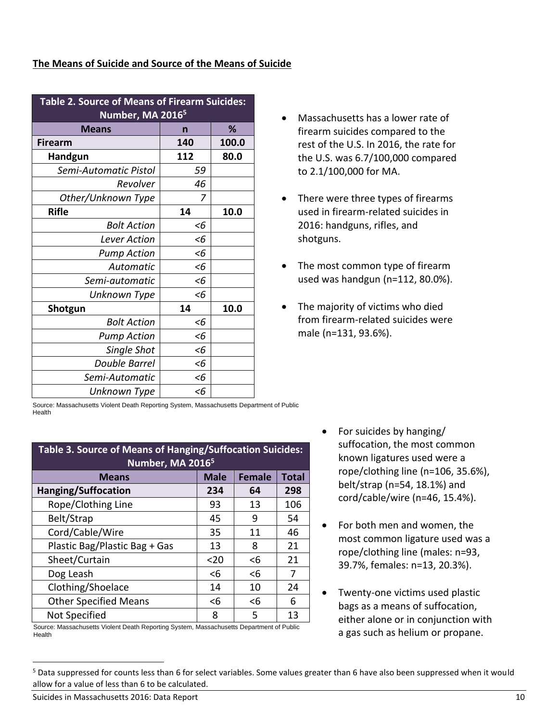| <b>Table 2. Source of Means of Firearm Suicides:</b> |       |       |  |  |  |  |
|------------------------------------------------------|-------|-------|--|--|--|--|
| Number, MA 2016 <sup>5</sup>                         |       |       |  |  |  |  |
| <b>Means</b>                                         | n     | ℅     |  |  |  |  |
| <b>Firearm</b>                                       | 140   | 100.0 |  |  |  |  |
| Handgun                                              | 112   | 80.0  |  |  |  |  |
| Semi-Automatic Pistol                                | 59    |       |  |  |  |  |
| Revolver                                             | 46    |       |  |  |  |  |
| Other/Unknown Type                                   | 7     |       |  |  |  |  |
| <b>Rifle</b>                                         | 14    | 10.0  |  |  |  |  |
| <b>Bolt Action</b>                                   | <6    |       |  |  |  |  |
| Lever Action                                         | $<$ 6 |       |  |  |  |  |
| <b>Pump Action</b>                                   | $<$ 6 |       |  |  |  |  |
| Automatic                                            | <6    |       |  |  |  |  |
| Semi-automatic                                       | <6    |       |  |  |  |  |
| Unknown Type                                         | <6    |       |  |  |  |  |
| Shotgun                                              | 14    | 10.0  |  |  |  |  |
| <b>Bolt Action</b>                                   | <6    |       |  |  |  |  |
| <b>Pump Action</b>                                   | <6    |       |  |  |  |  |
| Single Shot                                          | <6    |       |  |  |  |  |
| <b>Double Barrel</b>                                 | $<$ 6 |       |  |  |  |  |
| Semi-Automatic                                       | <6    |       |  |  |  |  |
| Unknown Type                                         | <6    |       |  |  |  |  |

- Massachusetts has a lower rate of firearm suicides compared to the rest of the U.S. In 2016, the rate for the U.S. was 6.7/100,000 compared to 2.1/100,000 for MA.
- There were three types of firearms used in firearm-related suicides in 2016: handguns, rifles, and shotguns.
- The most common type of firearm used was handgun (n=112, 80.0%).
- The majority of victims who died from firearm-related suicides were male (n=131, 93.6%).

Source: Massachusetts Violent Death Reporting System, Massachusetts Department of Public Health

| <b>Table 3. Source of Means of Hanging/Suffocation Suicides:</b><br>Number, MA 2016 <sup>5</sup> |       |       |     |  |  |
|--------------------------------------------------------------------------------------------------|-------|-------|-----|--|--|
| <b>Male</b><br><b>Female</b><br><b>Total</b><br><b>Means</b>                                     |       |       |     |  |  |
| <b>Hanging/Suffocation</b>                                                                       | 234   | 64    | 298 |  |  |
| Rope/Clothing Line                                                                               | 93    | 13    | 106 |  |  |
| Belt/Strap                                                                                       | 45    | 9     | 54  |  |  |
| Cord/Cable/Wire                                                                                  | 35    | 11    | 46  |  |  |
| Plastic Bag/Plastic Bag + Gas                                                                    | 13    | 8     | 21  |  |  |
| Sheet/Curtain                                                                                    | $20$  | $<$ 6 | 21  |  |  |
| Dog Leash                                                                                        | <6    | $6$   | 7   |  |  |
| Clothing/Shoelace                                                                                | 14    | 10    | 24  |  |  |
| <b>Other Specified Means</b>                                                                     | $<$ 6 | $<$ 6 | 6   |  |  |
| Not Specified                                                                                    | 8     | 5     | 13  |  |  |

Source: Massachusetts Violent Death Reporting System, Massachusetts Department of Public Health

- For suicides by hanging/ suffocation, the most common known ligatures used were a rope/clothing line (n=106, 35.6%), belt/strap (n=54, 18.1%) and cord/cable/wire (n=46, 15.4%).
- For both men and women, the most common ligature used was a rope/clothing line (males: n=93, 39.7%, females: n=13, 20.3%).
- Twenty-one victims used plastic bags as a means of suffocation, either alone or in conjunction with a gas such as helium or propane.

Suicides in Massachusetts 2016: Data Report 10 and 2008 10 and 2008 10 and 2008 10 and 2008 10 and 2008 10 and 2008 10 and 2008 10 and 2008 10 and 2008 10 and 2008 10 and 2008 10 and 2008 10 and 2008 10 and 2008 10 and 200

<sup>&</sup>lt;sup>5</sup> Data suppressed for counts less than 6 for select variables. Some values greater than 6 have also been suppressed when it would allow for a value of less than 6 to be calculated.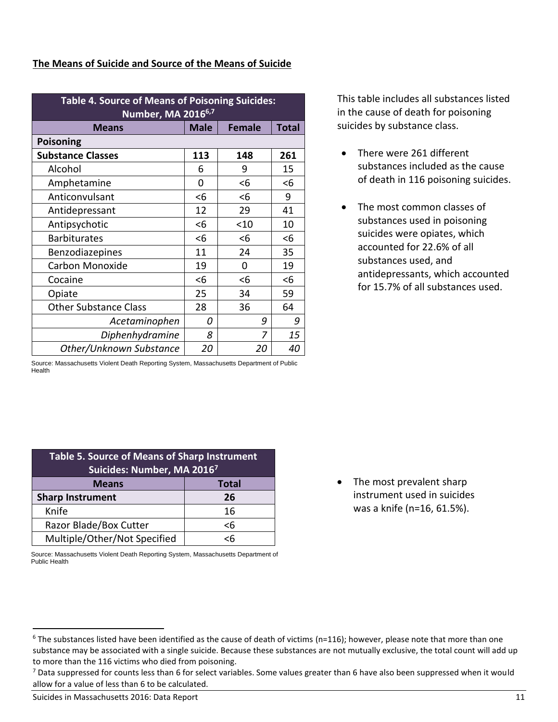| <b>Table 4. Source of Means of Poisoning Suicides:</b><br>Number, MA 2016 <sup>6,7</sup> |       |        |     |  |  |  |  |
|------------------------------------------------------------------------------------------|-------|--------|-----|--|--|--|--|
| <b>Male</b><br><b>Female</b><br><b>Total</b><br><b>Means</b>                             |       |        |     |  |  |  |  |
| Poisoning                                                                                |       |        |     |  |  |  |  |
| <b>Substance Classes</b>                                                                 | 113   | 148    | 261 |  |  |  |  |
| Alcohol                                                                                  | 6     | 9      | 15  |  |  |  |  |
| Amphetamine                                                                              | 0     | $6$    | <6  |  |  |  |  |
| Anticonvulsant                                                                           | $6$   | <6     | 9   |  |  |  |  |
| Antidepressant                                                                           | 12    | 29     | 41  |  |  |  |  |
| Antipsychotic                                                                            | $<$ 6 | $<$ 10 | 10  |  |  |  |  |
| <b>Barbiturates</b>                                                                      | $<$ 6 | <6     | <6  |  |  |  |  |
| Benzodiazepines                                                                          | 11    | 24     | 35  |  |  |  |  |
| Carbon Monoxide                                                                          | 19    | 0      | 19  |  |  |  |  |
| Cocaine                                                                                  | <6    | $<$ 6  | $6$ |  |  |  |  |
| Opiate                                                                                   | 25    | 34     | 59  |  |  |  |  |
| <b>Other Substance Class</b>                                                             | 28    | 36     | 64  |  |  |  |  |
| Acetaminophen                                                                            | O     | 9      | 9   |  |  |  |  |
| Diphenhydramine                                                                          | 8     | 7      | 15  |  |  |  |  |
| Other/Unknown Substance                                                                  | 20    | 20     | 40  |  |  |  |  |

Source: Massachusetts Violent Death Reporting System, Massachusetts Department of Public

Health

This table includes all substances listed in the cause of death for poisoning suicides by substance class.

- There were 261 different substances included as the cause of death in 116 poisoning suicides.
- The most common classes of substances used in poisoning suicides were opiates, which accounted for 22.6% of all substances used, and antidepressants, which accounted for 15.7% of all substances used.

| <b>Table 5. Source of Means of Sharp Instrument</b><br>Suicides: Number, MA 20167 |          |  |  |  |
|-----------------------------------------------------------------------------------|----------|--|--|--|
| <b>Total</b><br><b>Means</b>                                                      |          |  |  |  |
| <b>Sharp Instrument</b><br>26                                                     |          |  |  |  |
| Knife                                                                             | 16       |  |  |  |
| Razor Blade/Box Cutter                                                            | $\leq 6$ |  |  |  |
| Multiple/Other/Not Specified                                                      | ćĥ       |  |  |  |

Source: Massachusetts Violent Death Reporting System, Massachusetts Department of Public Health

• The most prevalent sharp instrument used in suicides was a knife (n=16, 61.5%).

 $6$  The substances listed have been identified as the cause of death of victims (n=116); however, please note that more than one substance may be associated with a single suicide. Because these substances are not mutually exclusive, the total count will add up to more than the 116 victims who died from poisoning.

 $7$  Data suppressed for counts less than 6 for select variables. Some values greater than 6 have also been suppressed when it would allow for a value of less than 6 to be calculated.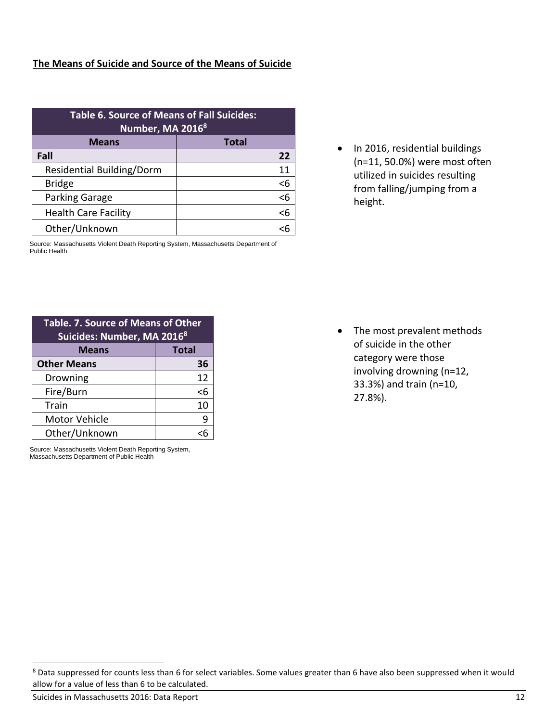| <b>Table 6. Source of Means of Fall Suicides:</b><br>Number, MA 20168 |              |  |  |  |  |
|-----------------------------------------------------------------------|--------------|--|--|--|--|
| <b>Means</b>                                                          | <b>Total</b> |  |  |  |  |
| Fall                                                                  | 22           |  |  |  |  |
| <b>Residential Building/Dorm</b>                                      | 11           |  |  |  |  |
| <b>Bridge</b>                                                         | < 6          |  |  |  |  |
| Parking Garage                                                        | $6$          |  |  |  |  |
| <b>Health Care Facility</b>                                           | $\leq 6$     |  |  |  |  |
| Other/Unknown                                                         | <6           |  |  |  |  |

Source: Massachusetts Violent Death Reporting System, Massachusetts Department of Public Health

• In 2016, residential buildings (n=11, 50.0%) were most often utilized in suicides resulting from falling/jumping from a height.

| Table. 7. Source of Means of Other<br>Suicides: Number, MA 20168 |    |  |  |  |
|------------------------------------------------------------------|----|--|--|--|
| <b>Total</b><br><b>Means</b>                                     |    |  |  |  |
| <b>Other Means</b>                                               | 36 |  |  |  |
| Drowning                                                         | 12 |  |  |  |
| Fire/Burn                                                        | <6 |  |  |  |
| Train                                                            | 10 |  |  |  |
| <b>Motor Vehicle</b>                                             |    |  |  |  |
| Other/Unknown                                                    |    |  |  |  |

Source: Massachusetts Violent Death Reporting System, Massachusetts Department of Public Health

• The most prevalent methods of suicide in the other category were those involving drowning (n=12, 33.3%) and train (n=10, 27.8%).

<sup>&</sup>lt;sup>8</sup> Data suppressed for counts less than 6 for select variables. Some values greater than 6 have also been suppressed when it would allow for a value of less than 6 to be calculated.

Suicides in Massachusetts 2016: Data Report 12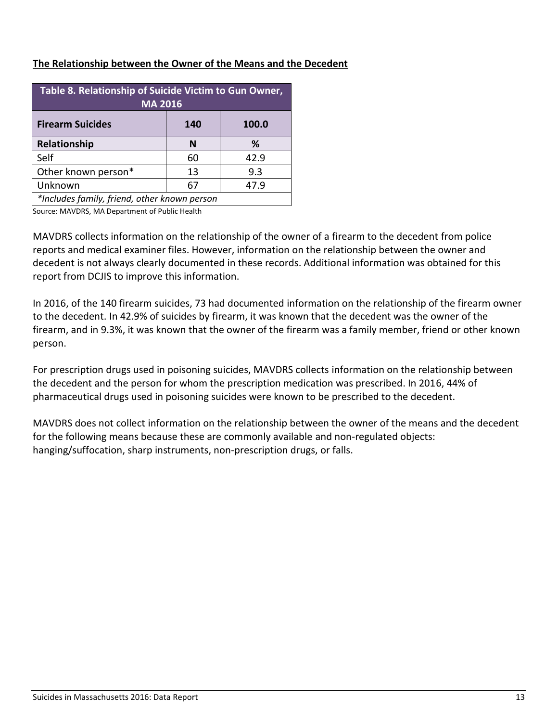## **The Relationship between the Owner of the Means and the Decedent**

| Table 8. Relationship of Suicide Victim to Gun Owner,<br><b>MA 2016</b> |    |      |  |  |  |
|-------------------------------------------------------------------------|----|------|--|--|--|
| <b>Firearm Suicides</b><br>100.0<br>140                                 |    |      |  |  |  |
| Relationship                                                            | N  | %    |  |  |  |
| Self                                                                    | 60 | 42.9 |  |  |  |
| Other known person*                                                     | 13 | 9.3  |  |  |  |
| Unknown                                                                 | 67 | 47.9 |  |  |  |
| *Includes family, friend, other known person                            |    |      |  |  |  |

Source: MAVDRS, MA Department of Public Health

MAVDRS collects information on the relationship of the owner of a firearm to the decedent from police reports and medical examiner files. However, information on the relationship between the owner and decedent is not always clearly documented in these records. Additional information was obtained for this report from DCJIS to improve this information.

In 2016, of the 140 firearm suicides, 73 had documented information on the relationship of the firearm owner to the decedent. In 42.9% of suicides by firearm, it was known that the decedent was the owner of the firearm, and in 9.3%, it was known that the owner of the firearm was a family member, friend or other known person.

For prescription drugs used in poisoning suicides, MAVDRS collects information on the relationship between the decedent and the person for whom the prescription medication was prescribed. In 2016, 44% of pharmaceutical drugs used in poisoning suicides were known to be prescribed to the decedent.

MAVDRS does not collect information on the relationship between the owner of the means and the decedent for the following means because these are commonly available and non-regulated objects: hanging/suffocation, sharp instruments, non-prescription drugs, or falls.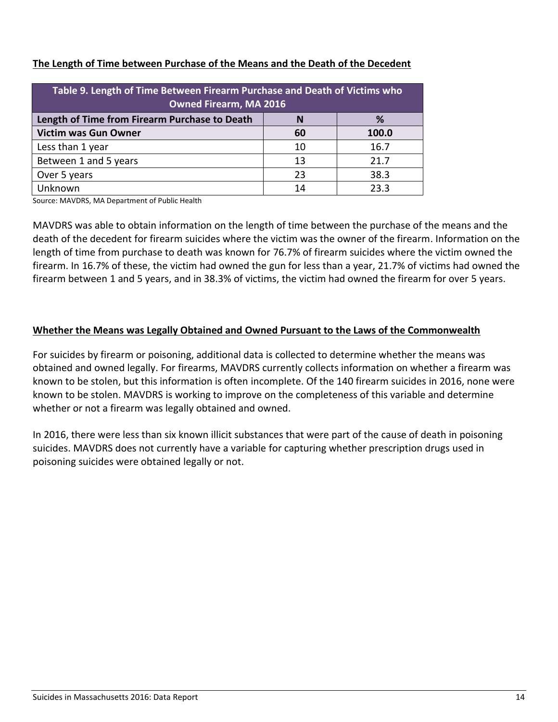| Table 9. Length of Time Between Firearm Purchase and Death of Victims who<br><b>Owned Firearm, MA 2016</b> |    |       |  |  |  |  |
|------------------------------------------------------------------------------------------------------------|----|-------|--|--|--|--|
| Length of Time from Firearm Purchase to Death<br>%                                                         |    |       |  |  |  |  |
| <b>Victim was Gun Owner</b>                                                                                | 60 | 100.0 |  |  |  |  |
| Less than 1 year                                                                                           | 10 | 16.7  |  |  |  |  |
| Between 1 and 5 years                                                                                      | 13 | 21.7  |  |  |  |  |
| Over 5 years                                                                                               | 23 | 38.3  |  |  |  |  |
| Unknown                                                                                                    | 14 | 23.3  |  |  |  |  |

## **The Length of Time between Purchase of the Means and the Death of the Decedent**

Source: MAVDRS, MA Department of Public Health

MAVDRS was able to obtain information on the length of time between the purchase of the means and the death of the decedent for firearm suicides where the victim was the owner of the firearm. Information on the length of time from purchase to death was known for 76.7% of firearm suicides where the victim owned the firearm. In 16.7% of these, the victim had owned the gun for less than a year, 21.7% of victims had owned the firearm between 1 and 5 years, and in 38.3% of victims, the victim had owned the firearm for over 5 years.

## **Whether the Means was Legally Obtained and Owned Pursuant to the Laws of the Commonwealth**

For suicides by firearm or poisoning, additional data is collected to determine whether the means was obtained and owned legally. For firearms, MAVDRS currently collects information on whether a firearm was known to be stolen, but this information is often incomplete. Of the 140 firearm suicides in 2016, none were known to be stolen. MAVDRS is working to improve on the completeness of this variable and determine whether or not a firearm was legally obtained and owned.

In 2016, there were less than six known illicit substances that were part of the cause of death in poisoning suicides. MAVDRS does not currently have a variable for capturing whether prescription drugs used in poisoning suicides were obtained legally or not.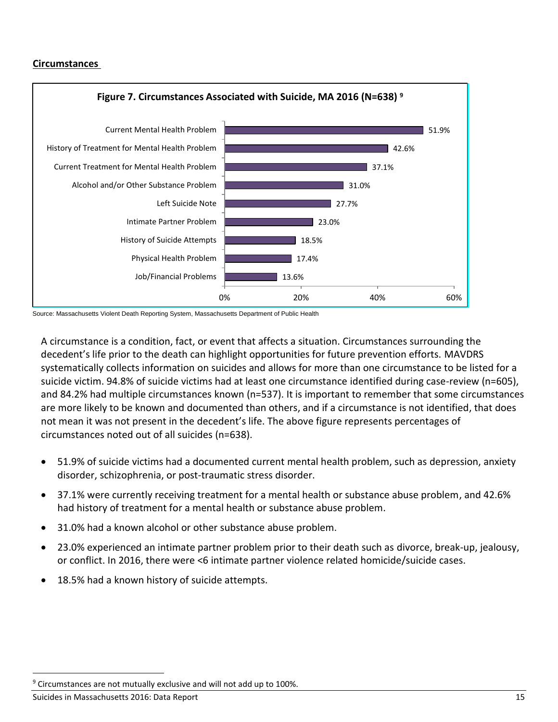#### **Circumstances <sup>9</sup>**



Source: Massachusetts Violent Death Reporting System, Massachusetts Department of Public Health

A circumstance is a condition, fact, or event that affects a situation. Circumstances surrounding the decedent's life prior to the death can highlight opportunities for future prevention efforts. MAVDRS systematically collects information on suicides and allows for more than one circumstance to be listed for a suicide victim. 94.8% of suicide victims had at least one circumstance identified during case-review (n=605), and 84.2% had multiple circumstances known (n=537). It is important to remember that some circumstances are more likely to be known and documented than others, and if a circumstance is not identified, that does not mean it was not present in the decedent's life. The above figure represents percentages of circumstances noted out of all suicides (n=638).

- 51.9% of suicide victims had a documented current mental health problem, such as depression, anxiety disorder, schizophrenia, or post-traumatic stress disorder.
- 37.1% were currently receiving treatment for a mental health or substance abuse problem, and 42.6% had history of treatment for a mental health or substance abuse problem.
- 31.0% had a known alcohol or other substance abuse problem.
- 23.0% experienced an intimate partner problem prior to their death such as divorce, break-up, jealousy, or conflict. In 2016, there were <6 intimate partner violence related homicide/suicide cases.
- 18.5% had a known history of suicide attempts.

 $9$  Circumstances are not mutually exclusive and will not add up to 100%.

Suicides in Massachusetts 2016: Data Report 15 and 2008 15 and 2018 15 and 2018 15 and 2018 15 and 2018 15 and 2019 15 and 2019 15 and 2019 15 and 2019 16 and 2019 16 and 2019 16 and 2019 16 and 2019 16 and 2019 16 and 201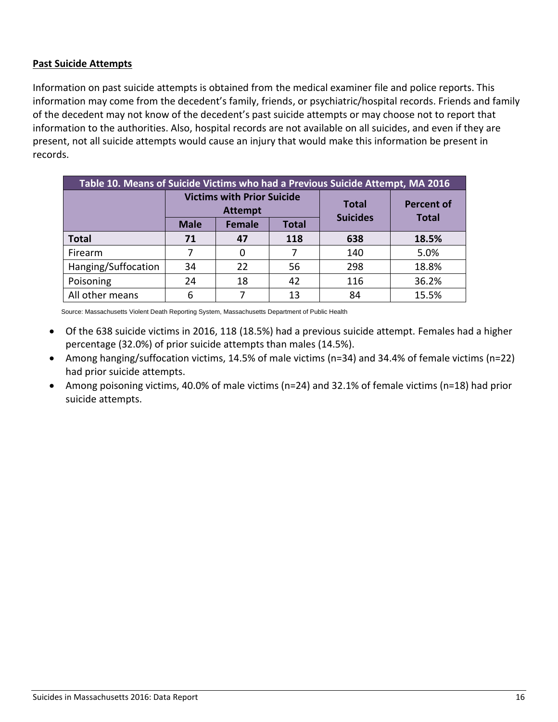#### **Past Suicide Attempts**

Information on past suicide attempts is obtained from the medical examiner file and police reports. This information may come from the decedent's family, friends, or psychiatric/hospital records. Friends and family of the decedent may not know of the decedent's past suicide attempts or may choose not to report that information to the authorities. Also, hospital records are not available on all suicides, and even if they are present, not all suicide attempts would cause an injury that would make this information be present in records.

| Table 10. Means of Suicide Victims who had a Previous Suicide Attempt, MA 2016 |                                                     |               |              |                                 |                   |  |
|--------------------------------------------------------------------------------|-----------------------------------------------------|---------------|--------------|---------------------------------|-------------------|--|
|                                                                                | <b>Victims with Prior Suicide</b><br><b>Attempt</b> |               |              | <b>Total</b><br><b>Suicides</b> | <b>Percent of</b> |  |
|                                                                                | <b>Male</b>                                         | <b>Female</b> | <b>Total</b> |                                 | <b>Total</b>      |  |
| <b>Total</b>                                                                   | 71                                                  | 47            | 118          | 638                             | 18.5%             |  |
| Firearm                                                                        |                                                     |               |              | 140                             | 5.0%              |  |
| Hanging/Suffocation                                                            | 34                                                  | 22            | 56           | 298                             | 18.8%             |  |
| Poisoning                                                                      | 24                                                  | 18            | 42           | 116                             | 36.2%             |  |
| All other means                                                                | 6                                                   |               | 13           | 84                              | 15.5%             |  |

Source: Massachusetts Violent Death Reporting System, Massachusetts Department of Public Health

- Of the 638 suicide victims in 2016, 118 (18.5%) had a previous suicide attempt. Females had a higher percentage (32.0%) of prior suicide attempts than males (14.5%).
- Among hanging/suffocation victims, 14.5% of male victims (n=34) and 34.4% of female victims (n=22) had prior suicide attempts.
- Among poisoning victims, 40.0% of male victims (n=24) and 32.1% of female victims (n=18) had prior suicide attempts.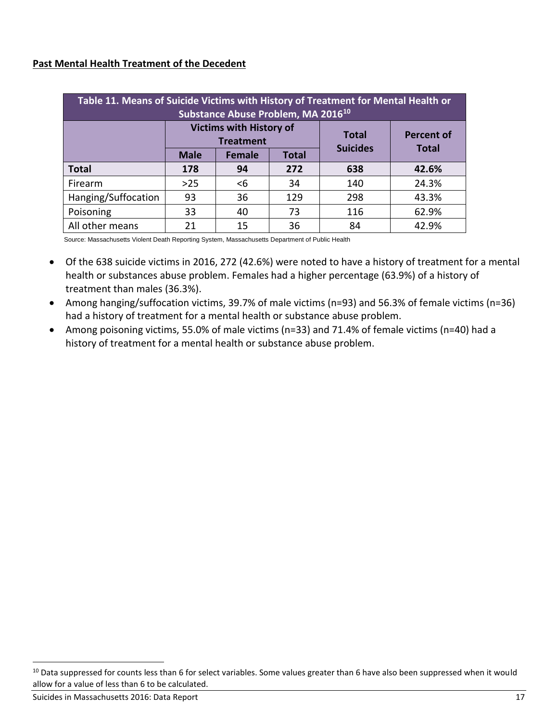## **Past Mental Health Treatment of the Decedent**

| Table 11. Means of Suicide Victims with History of Treatment for Mental Health or<br>Substance Abuse Problem, MA 2016 <sup>10</sup> |                                                    |               |              |                                 |                   |  |
|-------------------------------------------------------------------------------------------------------------------------------------|----------------------------------------------------|---------------|--------------|---------------------------------|-------------------|--|
|                                                                                                                                     | <b>Victims with History of</b><br><b>Treatment</b> |               |              | <b>Total</b><br><b>Suicides</b> | <b>Percent of</b> |  |
|                                                                                                                                     | <b>Male</b>                                        | <b>Female</b> | <b>Total</b> |                                 | <b>Total</b>      |  |
| <b>Total</b>                                                                                                                        | 178                                                | 94            | 272          | 638                             | 42.6%             |  |
| Firearm                                                                                                                             | $>25$                                              | $6$           | 34           | 140                             | 24.3%             |  |
| Hanging/Suffocation                                                                                                                 | 93                                                 | 36            | 129          | 298                             | 43.3%             |  |
| Poisoning                                                                                                                           | 33                                                 | 40            | 73           | 116                             | 62.9%             |  |
| All other means                                                                                                                     | 21                                                 | 15            | 36           | 84                              | 42.9%             |  |

Source: Massachusetts Violent Death Reporting System, Massachusetts Department of Public Health

- Of the 638 suicide victims in 2016, 272 (42.6%) were noted to have a history of treatment for a mental health or substances abuse problem. Females had a higher percentage (63.9%) of a history of treatment than males (36.3%).
- Among hanging/suffocation victims, 39.7% of male victims (n=93) and 56.3% of female victims (n=36) had a history of treatment for a mental health or substance abuse problem.
- Among poisoning victims, 55.0% of male victims (n=33) and 71.4% of female victims (n=40) had a history of treatment for a mental health or substance abuse problem.

<sup>&</sup>lt;sup>10</sup> Data suppressed for counts less than 6 for select variables. Some values greater than 6 have also been suppressed when it would allow for a value of less than 6 to be calculated.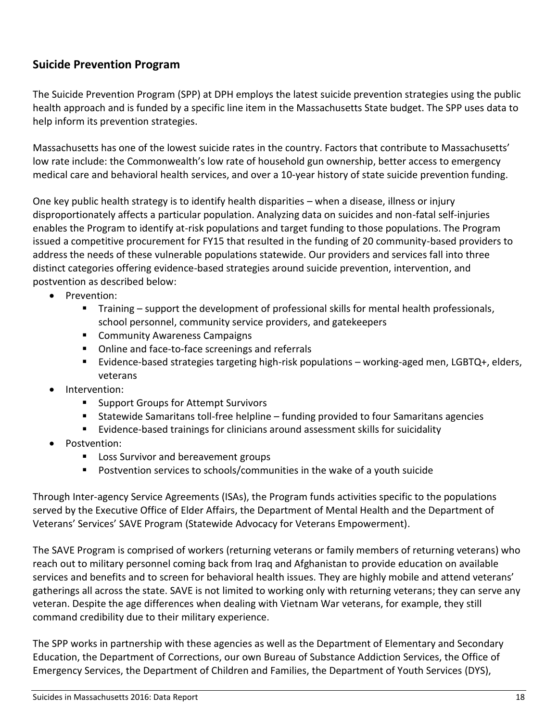# **Suicide Prevention Program**

The Suicide Prevention Program (SPP) at DPH employs the latest suicide prevention strategies using the public health approach and is funded by a specific line item in the Massachusetts State budget. The SPP uses data to help inform its prevention strategies.

Massachusetts has one of the lowest suicide rates in the country. Factors that contribute to Massachusetts' low rate include: the Commonwealth's low rate of household gun ownership, better access to emergency medical care and behavioral health services, and over a 10-year history of state suicide prevention funding.

One key public health strategy is to identify health disparities – when a disease, illness or injury disproportionately affects a particular population. Analyzing data on suicides and non-fatal self-injuries enables the Program to identify at-risk populations and target funding to those populations. The Program issued a competitive procurement for FY15 that resulted in the funding of 20 community-based providers to address the needs of these vulnerable populations statewide. Our providers and services fall into three distinct categories offering evidence-based strategies around suicide prevention, intervention, and postvention as described below:

- Prevention:
	- Training support the development of professional skills for mental health professionals, school personnel, community service providers, and gatekeepers
	- Community Awareness Campaigns
	- Online and face-to-face screenings and referrals
	- Evidence-based strategies targeting high-risk populations working-aged men, LGBTQ+, elders, veterans
- Intervention:
	- Support Groups for Attempt Survivors
	- Statewide Samaritans toll-free helpline funding provided to four Samaritans agencies
	- Evidence-based trainings for clinicians around assessment skills for suicidality
- Postvention:
	- Loss Survivor and bereavement groups
	- Postvention services to schools/communities in the wake of a youth suicide

Through Inter-agency Service Agreements (ISAs), the Program funds activities specific to the populations served by the Executive Office of Elder Affairs, the Department of Mental Health and the Department of Veterans' Services' SAVE Program (Statewide Advocacy for Veterans Empowerment).

The SAVE Program is comprised of workers (returning veterans or family members of returning veterans) who reach out to military personnel coming back from Iraq and Afghanistan to provide education on available services and benefits and to screen for behavioral health issues. They are highly mobile and attend veterans' gatherings all across the state. SAVE is not limited to working only with returning veterans; they can serve any veteran. Despite the age differences when dealing with Vietnam War veterans, for example, they still command credibility due to their military experience.

The SPP works in partnership with these agencies as well as the Department of Elementary and Secondary Education, the Department of Corrections, our own Bureau of Substance Addiction Services, the Office of Emergency Services, the Department of Children and Families, the Department of Youth Services (DYS),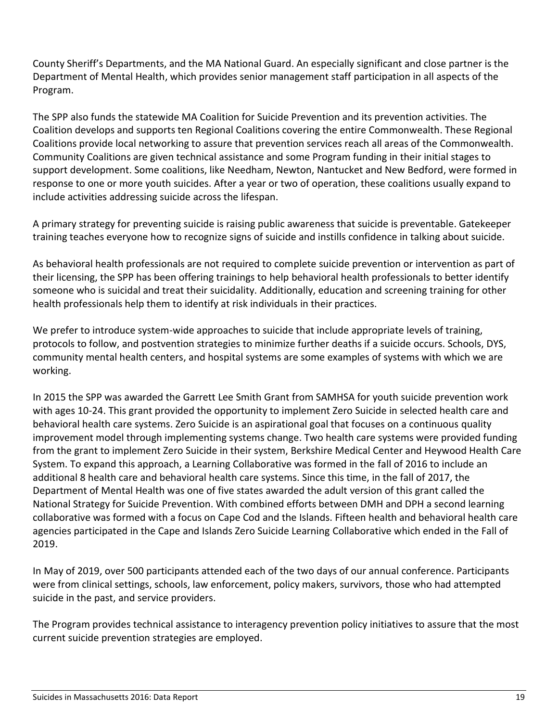County Sheriff's Departments, and the MA National Guard. An especially significant and close partner is the Department of Mental Health, which provides senior management staff participation in all aspects of the Program.

The SPP also funds the statewide MA Coalition for Suicide Prevention and its prevention activities. The Coalition develops and supports ten Regional Coalitions covering the entire Commonwealth. These Regional Coalitions provide local networking to assure that prevention services reach all areas of the Commonwealth. Community Coalitions are given technical assistance and some Program funding in their initial stages to support development. Some coalitions, like Needham, Newton, Nantucket and New Bedford, were formed in response to one or more youth suicides. After a year or two of operation, these coalitions usually expand to include activities addressing suicide across the lifespan.

A primary strategy for preventing suicide is raising public awareness that suicide is preventable. Gatekeeper training teaches everyone how to recognize signs of suicide and instills confidence in talking about suicide.

As behavioral health professionals are not required to complete suicide prevention or intervention as part of their licensing, the SPP has been offering trainings to help behavioral health professionals to better identify someone who is suicidal and treat their suicidality. Additionally, education and screening training for other health professionals help them to identify at risk individuals in their practices.

We prefer to introduce system-wide approaches to suicide that include appropriate levels of training, protocols to follow, and postvention strategies to minimize further deaths if a suicide occurs. Schools, DYS, community mental health centers, and hospital systems are some examples of systems with which we are working.

In 2015 the SPP was awarded the Garrett Lee Smith Grant from SAMHSA for youth suicide prevention work with ages 10-24. This grant provided the opportunity to implement Zero Suicide in selected health care and behavioral health care systems. Zero Suicide is an aspirational goal that focuses on a continuous quality improvement model through implementing systems change. Two health care systems were provided funding from the grant to implement Zero Suicide in their system, Berkshire Medical Center and Heywood Health Care System. To expand this approach, a Learning Collaborative was formed in the fall of 2016 to include an additional 8 health care and behavioral health care systems. Since this time, in the fall of 2017, the Department of Mental Health was one of five states awarded the adult version of this grant called the National Strategy for Suicide Prevention. With combined efforts between DMH and DPH a second learning collaborative was formed with a focus on Cape Cod and the Islands. Fifteen health and behavioral health care agencies participated in the Cape and Islands Zero Suicide Learning Collaborative which ended in the Fall of 2019.

In May of 2019, over 500 participants attended each of the two days of our annual conference. Participants were from clinical settings, schools, law enforcement, policy makers, survivors, those who had attempted suicide in the past, and service providers.

The Program provides technical assistance to interagency prevention policy initiatives to assure that the most current suicide prevention strategies are employed.